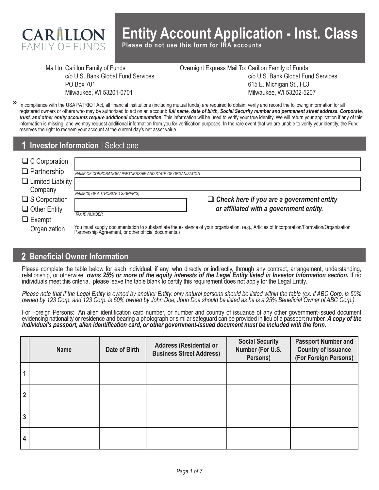

# **Entity Account Application - Inst. Class**

**Please do not use this form for IRA accounts**

Mail to: Carillon Family of Funds c/o U.S. Bank Global Fund Services PO Box 701 Milwaukee, WI 53201-0701

Overnight Express Mail To: Carillon Family of Funds c/o U.S. Bank Global Fund Services 615 E. Michigan St., FL3 Milwaukee, WI 53202-5207

In compliance with the USA PATRIOT Act, all financial institutions (including mutual funds) are required to obtain, verify and record the following information for all **>>** registered owners or others who may be authorized to act on an account: *full name, date of birth, Social Security number and permanent street address. Corporate, trust, and other entity accounts require additional documentation.* This information will be used to verify your true identity. We will return your application if any of this information is missing, and we may request additional information from you for verification purposes. In the rare event that we are unable to verify your identity, the Fund reserves the right to redeem your account at the current day's net asset value.

## **1 Investor Information** | Select one

| $\Box$ C Corporation            |                                                                                                                                                                                                 |
|---------------------------------|-------------------------------------------------------------------------------------------------------------------------------------------------------------------------------------------------|
| $\Box$ Partnership              | NAME OF CORPORATION / PARTNERSHIP AND STATE OF ORGANIZATION                                                                                                                                     |
| $\Box$ Limited Liability $\Box$ |                                                                                                                                                                                                 |
| Company                         | NAME(S) OF AUTHORIZED SIGNER(S)                                                                                                                                                                 |
| $\Box$ S Corporation            | $\Box$ Check here if you are a government entity                                                                                                                                                |
| $\Box$ Other Entity             | or affiliated with a government entity.                                                                                                                                                         |
| $\Box$ Exempt                   | <b>TAX ID NUMBER</b>                                                                                                                                                                            |
| Organization                    | You must supply documentation to substantiate the existence of your organization. (e.g., Articles of Incorporation/Formation/Organization, Partnership Agreement, or other official documents.) |

## **2 Beneficial Owner Information**

Please complete the table below for each individual, if any, who directly or indirectly, through any contract, arrangement, understanding, relationship, or otherwise, *owns 25% or more of the equity interests of the Legal Entity listed in Investor Information section.* If no individuals meet this criteria, please leave the table blank to certify this requirement does not apply for the Legal Entity.

*Please note that if the Legal Entity is owned by another Entity, only natural persons should be listed within the table (ex. if ABC Corp. is 50% owned by 123 Corp. and 123 Corp. is 50% owned by John Doe, John Doe should be listed as he is a 25% Beneficial Owner of ABC Corp.).* 

For Foreign Persons: An alien identification card number, or number and country of issuance of any other government-issued document evidencing nationality or residence and bearing a photograph or similar safeguard can be provided in lieu of a passport number. A copy of the individual's passport, alien identification card, or other government-issued doc

|                | <b>Name</b> | Date of Birth | <b>Address (Residential or</b><br><b>Business Street Address)</b> | <b>Social Security</b><br>Number (For U.S.<br>Persons) | <b>Passport Number and</b><br><b>Country of Issuance</b><br>(For Foreign Persons) |
|----------------|-------------|---------------|-------------------------------------------------------------------|--------------------------------------------------------|-----------------------------------------------------------------------------------|
|                |             |               |                                                                   |                                                        |                                                                                   |
| $\overline{2}$ |             |               |                                                                   |                                                        |                                                                                   |
| 3              |             |               |                                                                   |                                                        |                                                                                   |
| 4              |             |               |                                                                   |                                                        |                                                                                   |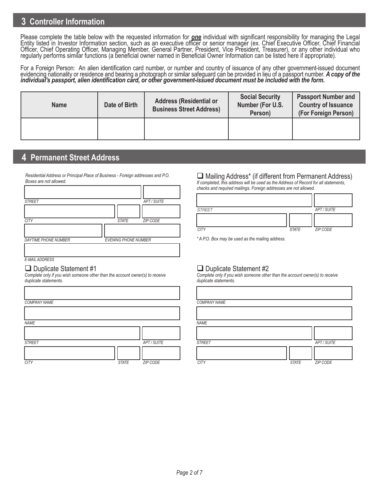## **3 Controller Information**

Please complete the table below with the requested information for *one* individual with significant responsibility for managing the Legal<br>Entity listed in Investor Information section, such as an executive officer or seni Officer, Chief Operating Officer, Managing Member, General Partner, President, Vice President, Treasurer), or any other individual who regularly performs similar functions (a beneficial owner named in Beneficial Owner Information can be listed here if appropriate).

For a Foreign Person: An alien identification card number, or number and country of issuance of any other government-issued document evidencing nationality or residence and bearing a photograph or similar safeguard can be provided in lieu of a passport number. A copy of the<br>individual's passport, alien identification card, or other government-issued doc

| <b>Name</b> | Date of Birth | <b>Address (Residential or</b><br><b>Business Street Address)</b> | <b>Social Security</b><br>Number (For U.S.<br>Person) | <b>Passport Number and</b><br><b>Country of Issuance</b><br>(For Foreign Person) |
|-------------|---------------|-------------------------------------------------------------------|-------------------------------------------------------|----------------------------------------------------------------------------------|
|             |               |                                                                   |                                                       |                                                                                  |

## **4 Permanent Street Address**

*Residential Address or Principal Place of Business - Foreign addresses and P.O. Boxes are not allowed.*

| <b>STREET</b>               |                             | APT / SUITE     |
|-----------------------------|-----------------------------|-----------------|
|                             |                             |                 |
| <b>CITY</b>                 | <b>STATE</b>                | <b>ZIP CODE</b> |
|                             |                             |                 |
| <b>DAYTIME PHONE NUMBER</b> | <b>EVENING PHONE NUMBER</b> |                 |
|                             |                             |                 |

*E-MAIL ADDRESS*

#### $\Box$  Duplicate Statement #1

*Complete only if you wish someone other than the account owner(s) to receive duplicate statements.*

| <b>COMPANY NAME</b> |              |                 | <b>COMPAI</b> |
|---------------------|--------------|-----------------|---------------|
|                     |              |                 |               |
| <b>NAME</b>         |              |                 | <b>NAME</b>   |
|                     |              |                 |               |
| <b>STREET</b>       |              | APT / SUITE     | <b>STREET</b> |
|                     |              |                 |               |
| <b>CITY</b>         | <b>STATE</b> | <b>ZIP CODE</b> | <b>CITY</b>   |

## $\Box$  Mailing Address<sup>\*</sup> (if different from Permanent Address)

*If completed, this address will be used as the Address of Record for all statements, checks and required mailings. Foreign addresses are not allowed.*

| <b>STREET</b> |              | APT / SUITE |
|---------------|--------------|-------------|
|               |              |             |
| <b>CITY</b>   | <b>STATE</b> | ZIP CODE    |

*\* A P.O. Box may be used as the mailing address.*

### $\Box$  Duplicate Statement #2

*Complete only if you wish someone other than the account owner(s) to receive duplicate statements.*

|              |           | <b>COMPANY NAME</b> |              |             |
|--------------|-----------|---------------------|--------------|-------------|
|              |           |                     |              |             |
|              |           | <b>NAME</b>         |              |             |
|              |           |                     |              |             |
|              | APT/SUITE | <b>STREET</b>       |              | APT / SUITE |
|              |           |                     |              |             |
| <b>STATE</b> | ZIP CODE  | <b>CITY</b>         | <b>STATE</b> | ZIP CODE    |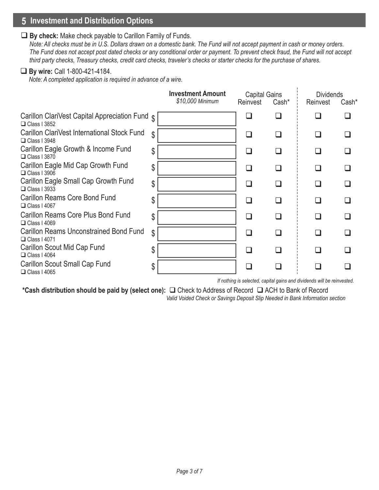## **5 Investment and Distribution Options**

#### **By check:** Make check payable to Carillon Family of Funds.

 *Note: All checks must be in U.S. Dollars drawn on a domestic bank. The Fund will not accept payment in cash or money orders. The Fund does not accept post dated checks or any conditional order or payment. To prevent check fraud, the Fund will not accept third party checks, Treasury checks, credit card checks, traveler's checks or starter checks for the purchase of shares.*

#### **By wire:** Call 1-800-421-4184.

*Note: A completed application is required in advance of a wire.*

|                                                                            |              | <b>Investment Amount</b><br>\$10,000 Minimum | <b>Capital Gains</b><br>Reinvest | Cash <sup>*</sup> | <b>Dividends</b><br>Reinvest | Cash <sup>*</sup> |
|----------------------------------------------------------------------------|--------------|----------------------------------------------|----------------------------------|-------------------|------------------------------|-------------------|
|                                                                            |              |                                              |                                  |                   |                              |                   |
| Carillon ClariVest Capital Appreciation Fund $\phi$<br>$\Box$ Class I 3852 |              |                                              |                                  |                   |                              |                   |
| Carillon ClariVest International Stock Fund<br>$\Box$ Class I 3948         | $\mathbb{S}$ |                                              | □                                |                   |                              |                   |
| Carillon Eagle Growth & Income Fund<br>$\Box$ Class I 3870                 | \$           |                                              | $\mathsf{L}$                     |                   | $\mathsf{L}$                 |                   |
| Carillon Eagle Mid Cap Growth Fund<br>$\Box$ Class I 3906                  | \$           |                                              | П                                |                   | H                            |                   |
| Carillon Eagle Small Cap Growth Fund<br>$\Box$ Class I 3933                | \$           |                                              | $\Box$                           |                   | $\mathsf{L}$                 |                   |
| Carillon Reams Core Bond Fund<br>$\Box$ Class I 4067                       | \$           |                                              | $\mathsf{L}$                     |                   | l 1                          |                   |
| Carillon Reams Core Plus Bond Fund<br>$\Box$ Class I 4069                  | \$           |                                              | $\mathsf{L}$                     |                   |                              |                   |
| <b>Carillon Reams Unconstrained Bond Fund</b><br>$\Box$ Class   4071       | \$           |                                              | П                                |                   |                              |                   |
| Carillon Scout Mid Cap Fund<br>$\Box$ Class I 4064                         | \$           |                                              | $\mathsf{L}$                     |                   |                              |                   |
| Carillon Scout Small Cap Fund<br>$\Box$ Class I 4065                       | \$           |                                              |                                  |                   |                              |                   |

*If nothing is selected, capital gains and dividends will be reinvested.*

ï

\*Cash distribution should be paid by (select one): **□** Check to Address of Record □ ACH to Bank of Record

 *Valid Voided Check or Savings Deposit Slip Needed in Bank Information section*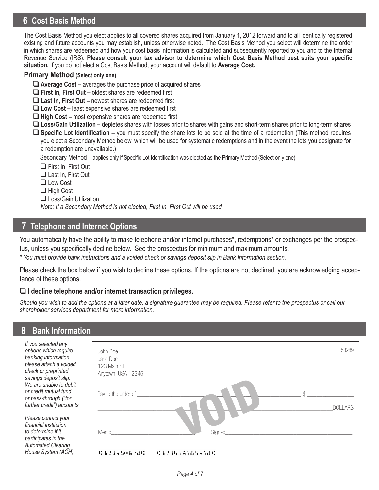# **6 Cost Basis Method**

The Cost Basis Method you elect applies to all covered shares acquired from January 1, 2012 forward and to all identically registered existing and future accounts you may establish, unless otherwise noted. The Cost Basis Method you select will determine the order in which shares are redeemed and how your cost basis information is calculated and subsequently reported to you and to the Internal Revenue Service (IRS). **Please consult your tax advisor to determine which Cost Basis Method best suits your specific situation.** If you do not elect a Cost Basis Method, your account will default to **Average Cost.**

#### **Primary Method (Select only one)**

- **Average Cost –** averages the purchase price of acquired shares
- **First In, First Out** oldest shares are redeemed first
- **Last In, First Out** newest shares are redeemed first
- **Low Cost –** least expensive shares are redeemed first
- **High Cost** most expensive shares are redeemed first
- **Loss/Gain Utilization –** depletes shares with losses prior to shares with gains and short-term shares prior to long-term shares
- **Specific Lot Identification** you must specify the share lots to be sold at the time of a redemption (This method requires you elect a Secondary Method below, which will be used for systematic redemptions and in the event the lots you designate for a redemption are unavailable.)

Secondary Method – applies only if Specific Lot Identification was elected as the Primary Method (Select only one)

- □ First In, First Out
- □ Last In, First Out
- Low Cost
- □ High Cost
- □ Loss/Gain Utilization

*Note: If a Secondary Method is not elected, First In, First Out will be used.*

## **7 Telephone and Internet Options**

You automatically have the ability to make telephone and/or internet purchases\*, redemptions\* or exchanges per the prospectus, unless you specifically decline below. See the prospectus for minimum and maximum amounts.

*\* You must provide bank instructions and a voided check or savings deposit slip in Bank Information section.* 

Please check the box below if you wish to decline these options. If the options are not declined, you are acknowledging acceptance of these options.

#### **I decline telephone and/or internet transaction privileges.**

*Should you wish to add the options at a later date, a signature guarantee may be required. Please refer to the prospectus or call our shareholder services department for more information.*

### **Bank Information**

| If you selected any<br>options which require<br>banking information,                             | John Doe<br>Jane Doe               | 53289          |
|--------------------------------------------------------------------------------------------------|------------------------------------|----------------|
| please attach a voided<br>check or preprinted<br>savings deposit slip.<br>We are unable to debit | 123 Main St.<br>Anytown, USA 12345 |                |
| or credit mutual fund<br>or pass-through ("for<br>further credit") accounts.                     | Pay to the order of                | <b>DOLLARS</b> |
| Please contact your<br>financial institution<br>to determine if it                               | Signed<br>Memo                     |                |
| participates in the<br><b>Automated Clearing</b><br>House System (ACH).                          | 41234506784<br>01234567856780      |                |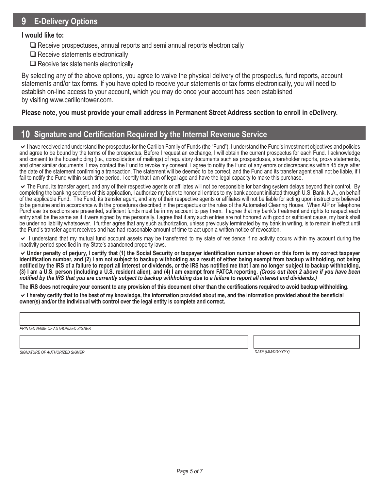## **9 E-Delivery Options**

#### **I would like to:**

- $\Box$  Receive prospectuses, annual reports and semi annual reports electronically
- $\Box$  Receive statements electronically
- $\Box$  Receive tax statements electronically

By selecting any of the above options, you agree to waive the physical delivery of the prospectus, fund reports, account statements and/or tax forms. If you have opted to receive your statements or tax forms electronically, you will need to establish on-line access to your account, which you may do once your account has been established by visiting www.carillontower.com.

#### **Please note, you must provide your email address in Permanent Street Address section to enroll in eDelivery.**

## **10 Signature and Certification Required by the Internal Revenue Service**

 $\vee$  I have received and understand the prospectus for the Carillon Family of Funds (the "Fund"). I understand the Fund's investment objectives and policies and agree to be bound by the terms of the prospectus. Before I request an exchange, I will obtain the current prospectus for each Fund. I acknowledge and consent to the householding (i.e., consolidation of mailings) of regulatory documents such as prospectuses, shareholder reports, proxy statements, and other similar documents. I may contact the Fund to revoke my consent. I agree to notify the Fund of any errors or discrepancies within 45 days after the date of the statement confirming a transaction. The statement will be deemed to be correct, and the Fund and its transfer agent shall not be liable, if I fail to notify the Fund within such time period. I certify that I am of legal age and have the legal capacity to make this purchase.

The Fund, its transfer agent, and any of their respective agents or affiliates will not be responsible for banking system delays beyond their control. By completing the banking sections of this application, I authorize my bank to honor all entries to my bank account initiated through U.S. Bank, N.A., on behalf of the applicable Fund. The Fund, its transfer agent, and any of their respective agents or affiliates will not be liable for acting upon instructions believed to be genuine and in accordance with the procedures described in the prospectus or the rules of the Automated Clearing House. When AIP or Telephone Purchase transactions are presented, sufficient funds must be in my account to pay them. I agree that my bank's treatment and rights to respect each entry shall be the same as if it were signed by me personally. I agree that if any such entries are not honored with good or sufficient cause, my bank shall be under no liability whatsoever. I further agree that any such authorization, unless previously terminated by my bank in writing, is to remain in effect until the Fund's transfer agent receives and has had reasonable amount of time to act upon a written notice of revocation.

 $\vee$  I understand that my mutual fund account assets may be transferred to my state of residence if no activity occurs within my account during the inactivity period specified in my State's abandoned property laws.

**Under penalty of perjury, I certify that (1) the Social Security or taxpayer identification number shown on this form is my correct taxpayer identification number, and (2) I am not subject to backup withholding as a result of either being exempt from backup withholding, not being notified by the IRS of a failure to report all interest or dividends, or the IRS has notified me that I am no longer subject to backup withholding, (3) I am a U.S. person (including a U.S. resident alien), and (4) I am exempt from FATCA reporting.** *(Cross out item 2 above if you have been notified by the IRS that you are currently subject to backup withholding due to a failure to report all interest and dividends.)*

**The IRS does not require your consent to any provision of this document other than the certifications required to avoid backup withholding.**

**I hereby certify that to the best of my knowledge, the information provided about me, and the information provided about the beneficial owner(s) and/or the individual with control over the legal entity is complete and correct.** 

*PRINTED NAME OF AUTHORIZED SIGNER*

*SIGNATURE OF AUTHORIZED SIGNER DATE (MM/DD/YYYY)*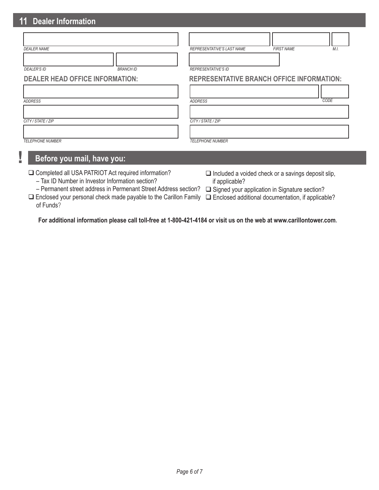# **11 Dealer Information**

**!**

| <b>DEALER NAME</b>                     | REPRESENTATIVE'S LAST NAME<br><b>FIRST NAME</b><br>M.I. |
|----------------------------------------|---------------------------------------------------------|
| <b>BRANCH ID</b><br><b>DEALER'S ID</b> | <b>REPRESENTATIVE'S ID</b>                              |
| <b>DEALER HEAD OFFICE INFORMATION:</b> | <b>REPRESENTATIVE BRANCH OFFICE INFORMATION:</b>        |
| <b>ADDRESS</b>                         | CODE<br><b>ADDRESS</b>                                  |
| CITY / STATE / ZIP                     | CITY/STATE/ZIP                                          |
| <b>TELEPHONE NUMBER</b>                | <b>TELEPHONE NUMBER</b>                                 |
| Before you mail, have you:             |                                                         |

| □ Completed all USA PATRIOT Act required information? |  |
|-------------------------------------------------------|--|
| - Tax ID Number in Investor Information section?      |  |

- $\Box$  Included a voided check or a savings deposit slip, if applicable?
- Permanent street address in Permenant Street Address section? □ Signed your application in Signature section?
	-

□ Enclosed your personal check made payable to the Carillon Family □ Enclosed additional documentation, if applicable? of Funds?

**For additional information please call toll-free at 1-800-421-4184 or visit us on the web at www.carillontower.com.**